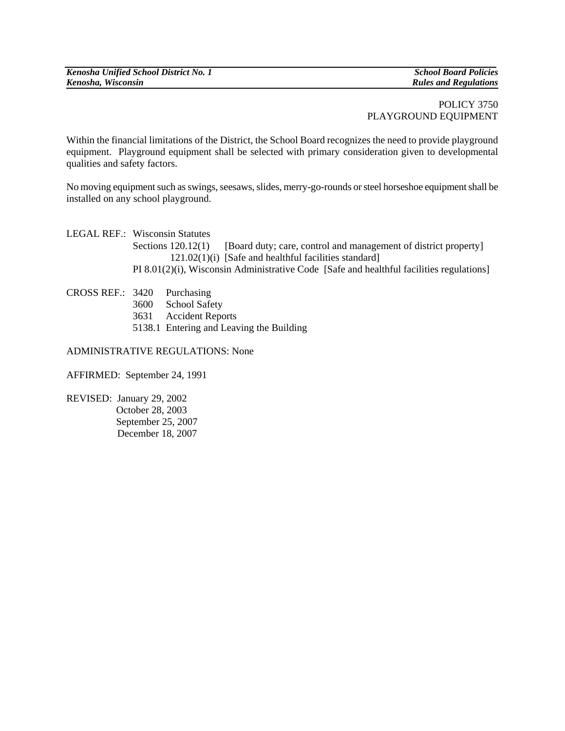*Rules and Regulations* 

## POLICY 3750 PLAYGROUND EQUIPMENT

Within the financial limitations of the District, the School Board recognizes the need to provide playground equipment. Playground equipment shall be selected with primary consideration given to developmental qualities and safety factors.

No moving equipment such as swings, seesaws, slides, merry-go-rounds or steel horseshoe equipment shall be installed on any school playground.

LEGAL REF.: Wisconsin Statutes Sections 120.12(1) [Board duty; care, control and management of district property] 121.02(1)(i) [Safe and healthful facilities standard] PI 8.01(2)(i), Wisconsin Administrative Code [Safe and healthful facilities regulations]

| CROSS REF.: 3420 Purchasing |                                          |
|-----------------------------|------------------------------------------|
|                             | 3600 School Safety                       |
|                             | 3631 Accident Reports                    |
|                             | 5138.1 Entering and Leaving the Building |
|                             |                                          |

## ADMINISTRATIVE REGULATIONS: None

AFFIRMED: September 24, 1991

REVISED: January 29, 2002 October 28, 2003 September 25, 2007 December 18, 2007